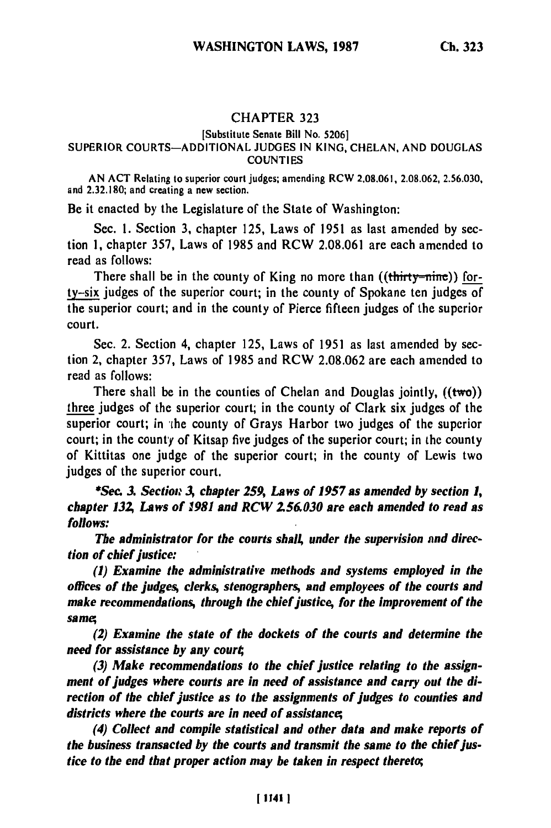# CHAPTER 323

## [Substitute Senate Bill No. **5206]**

#### SUPERIOR **COURTS-ADDITIONAL JUDGES IN KING, CHELAN, AND DOUGLAS COUNTIES**

**AN ACT** Relating to superior court judges; amending RCW **2.08.061, 2.08.062, 2.56.030,** and **2.32.180;** and creating a new section.

Be it enacted **by** the Legislature of the State of Washington:

Sec. **1.** Section **3,** chapter **125,** Laws of **1951** as last amended **by** section **1,** chapter **357,** Laws of **1985** and RCW **2.08.061** are each amended to read as follows:

There shall be in the county of King no more than  $((\text{thirty}-\text{nine}))$  for**ty-six** judges of the superior court; in the county of Spokane ten judges of the superior court; and in the county of Pierce fifteen judges of the superior court.

Sec. 2. Section 4, chapter 125, Laws of 1951 as last amended by section 2, chapter 357, Laws of 1985 and RCW 2.08.062 are each amended to read as follows:

There shall be in the counties of Chelan and Douglas jointly,  $((two))$ three judges of the superior court; in the county of Clark six judges of the superior court; in 'the county of Grays Harbor two judges of the superior court; in the county of Kitsap five judges of the superior court; in the county of Kittitas one judge of the superior court; in the county of Lewis two judges of the superior court.

*\*Sec. 3 Section A chapter 259, Laws of 1957 as amended by section 1, chapter 13Z Laws of 1981 and RCW 256.030 are each amended to read as follows:*

*The administrator for the courts shall under the supervision and direction of chief justice:*

*(1) Examine the administrative methods and systems employed in the offices of the judges, clerks, stenographers, and employees of the courts and make recommendations, through the chief justice, for the improvement of the same;*

*(2) Examine the state of the dockets of the courts and determine the need for assistance by any court;*

*(3) Make recommendations to the chief justice relating to the assignment of judges where courts are in need of assistance and carry out the direction of the chief justice as to the assignments of judges to counties and districts where the courts are in need of assistance;*

*(4) Collect and compile statistical and other data and make reports of the business transacted by the courts and transmit the same to the chief justice to the end that proper action may be taken in respect thereto;*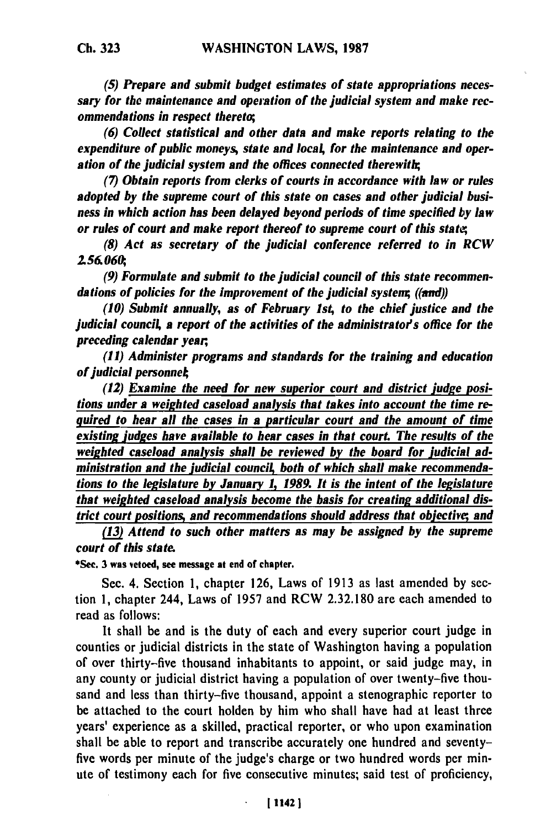*(5) Prepare and submit budget estimates of state appropriations necessary for the maintenance and operation of the judicial system and make recommendations in respect thereto;*

*(6) Collect statistical and other data and make reports relating to the expenditure of public moneys, state and local for the maintenance and operation of the judicial system and the offices connected therewith;*

**(7)** *Obtain reports from clerks of courts in accordance with law or rules adopted by the supreme court of this state on cases and other judicial business in which action has been delayed beyond periods of time specified by law or rules of court and make report thereof to supreme court of this stati,*

*(8) Act as secretary of the judicial conference referred to in RCW 156060,*

*(9) Formulate and submit to the judicial council of this state recommendations of policies for the improvement of the judicial system; ((and))*

*(10) Submit annually, as of February 1st, to the chief justice and the judicial counci4 a report of the activities of the administrator's office for the preceding calendar year,*

*(11) Administer programs and standards for the training and education of judicial personne*

*(12) Examine the need for new superior court and district judge positions under a weighted caseload analysis that takes into account the time required to hear all the cases in a particular court and the amount of time existing judges have available to hear cases in that court The results of the weighted caseload analysis shall be reviewed by the board for judicial ad*ministration and the judicial council, both of which shall make recommenda*tions to the legislature by January 1, 1989. It is the intent of the legislature that weighted caseload analysis become the basis for creating additional district court positions, and recommendations should address that objective; and*

*(13) Attend to such other matters as may be assigned by the supreme court of this state.*

**\*See. 3** was vetoed, see message at end of chapter.

Sec. 4. Section 1, chapter 126, Laws of 1913 as last amended **by** section 1, chapter 244, Laws of 1957 and RCW 2.32.180 are each amended to read as follows:

It shall be and is the duty of each and every superior court judge in counties or judicial districts in the state of Washington having a population of over thirty-five thousand inhabitants to appoint, or said judge may, in any county or judicial district having a population of over twenty-five thousand and less than thirty-five thousand, appoint a stenographic reporter to be attached to the court holden by him who shall have had at least three years' experience as a skilled, practical reporter, or who upon examination shall be able to report and transcribe accurately one hundred and seventyfive words per minute of the judge's charge or two hundred words per minute of testimony each for five consecutive minutes; said test of proficiency,

 $\ddot{\phantom{a}}$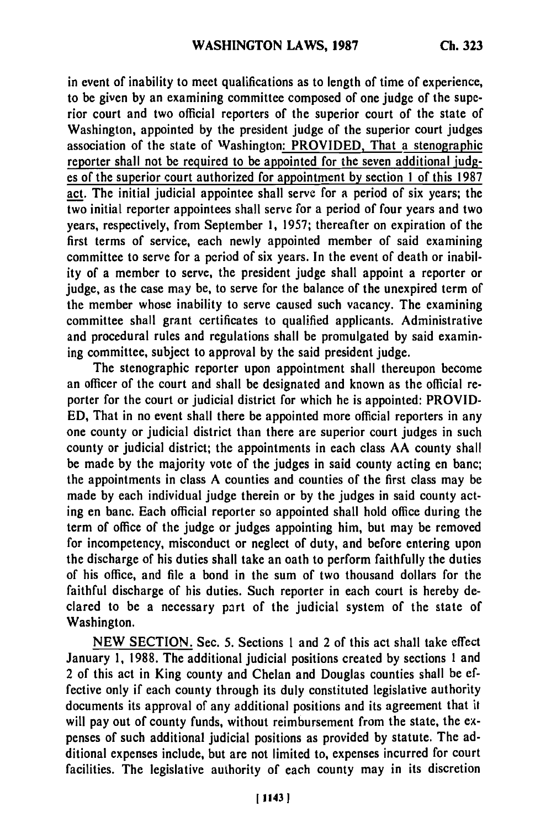in event of inability to meet qualifications as to length of time of experience, to be given **by** an examining committee composed of one judge of the superior court and two official reporters of the superior court of the state of Washington, appointed **by** the president judge of the superior court judges association of the state of Washington: PROVIDED, That a stenographic reporter shall not be required to be appointed for the seven additional **judg**es of the superior court authorized for appointment **by** section **1** of this **1987** act. The initial judicial appointee shall serve for a period of six years; the two initial reporter appointees shall serve for a period of four years and two years, respectively, from September **1, 1957;** thereafter on expiration of the first terms of service, each newly appointed member of said examining committee to serve for a period of six years. In the event of death or inability of a member to serve, the president judge shall appoint a reporter or judge, as the case may be, to serve for the balance of the unexpired term of the member whose inability to serve caused such vacancy. The examining committee shall grant certificates to qualified applicants. Administrative and procedural rules and regulations shall be promulgated **by** said examining committee, subject to approval **by** the said president judge.

The stenographic reporter upon appointment shall thereupon become an officer of the court and shall be designated and known as the official reporter for the court or judicial district for which he is appointed: PROVID-**ED,** That in no event shall there be appointed more official reporters in any one county or judicial district than there are superior court judges in such county or judicial district; the appointments in each class AA county shall be made **by** the majority vote of the judges in said county acting en banc; the appointments in class A counties and counties of the first class may be made **by** each individual judge therein or **by** the judges in said county acting en banc. Each official reporter so appointed shall hold office during the term of office of the judge or judges appointing him, but may be removed for incompetency, misconduct or neglect of duty, and before entering upon the discharge of his duties shall take an oath to perform faithfully the duties of his office, and file a bond in the sum of two thousand dollars for the faithful discharge of his duties. Such reporter in each court is hereby declared to be a necessary part of the judicial system of the state of Washington.

**NEW SECTION.** Sec. **5.** Sections **1** and 2 of this act shall take effect January **1, 1988.** The additional judicial positions created **by** sections **1** and 2 of this act in King county and Chelan and Douglas counties shall be effective only if each county through its duly constituted legislative authority documents its approval of any additional positions and its agreement that it will pay out of county funds, without reimbursement from the state, the expenses of such additional judicial positions as provided **by** statute. The additional expenses include, but are not limited to, expenses incurred for court facilities. The legislative authority of each county may in its discretion